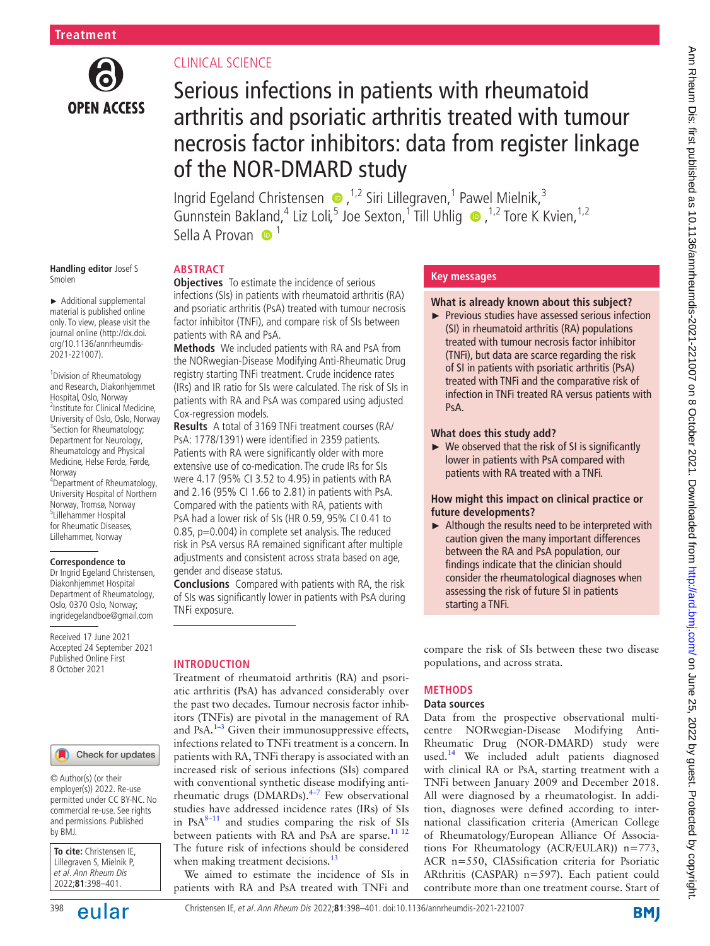

# CLINICAL SCIENCE

**ABSTRACT**

# Serious infections in patients with rheumatoid arthritis and psoriatic arthritis treated with tumour necrosis factor inhibitors: data from register linkage of the NOR-DMARD study

IngridEgeland Christensen  $\bullet$ , <sup>1,2</sup> Siri Lillegraven, <sup>1</sup> Pawel Mielnik, <sup>3</sup> GunnsteinBakland,<sup>4</sup> Liz Loli,<sup>5</sup> Joe Sexton,<sup>1</sup> Till Uhlig  $\bullet$ ,<sup>1,2</sup> Tore K Kvien,<sup>1,2</sup> Sella A Provan  $\bullet$ <sup>1</sup>

#### **Handling editor** Josef S Smolen

► Additional supplemental material is published online only. To view, please visit the journal online ([http://dx.doi.](http://dx.doi.org/10.1136/annrheumdis-2021-221007) [org/10.1136/annrheumdis-](http://dx.doi.org/10.1136/annrheumdis-2021-221007)[2021-221007\)](http://dx.doi.org/10.1136/annrheumdis-2021-221007).

<sup>1</sup> Division of Rheumatology and Research, Diakonhjemmet Hospital, Oslo, Norway 2 Institute for Clinical Medicine, University of Oslo, Oslo, Norway <sup>3</sup>Section for Rheumatology; Department for Neurology, Rheumatology and Physical Medicine, Helse Førde, Førde, Norway 4 Department of Rheumatology, University Hospital of Northern Norway, Tromsø, Norway 5 Lillehammer Hospital

for Rheumatic Diseases, Lillehammer, Norway

#### **Correspondence to**

Dr Ingrid Egeland Christensen, Diakonhjemmet Hospital Department of Rheumatology, Oslo, 0370 Oslo, Norway; ingridegelandboe@gmail.com

Received 17 June 2021 Accepted 24 September 2021 Published Online First 8 October 2021

#### Check for updates

© Author(s) (or their employer(s)) 2022. Re-use permitted under CC BY-NC. No commercial re-use. See rights and permissions. Published by BMJ.

| To cite: Christensen IE,  |  |  |  |  |
|---------------------------|--|--|--|--|
| Lillegraven S, Mielnik P, |  |  |  |  |
| et al. Ann Rheum Dis      |  |  |  |  |
| 2022;81:398-401.          |  |  |  |  |

**Objectives** To estimate the incidence of serious infections (SIs) in patients with rheumatoid arthritis (RA) and psoriatic arthritis (PsA) treated with tumour necrosis factor inhibitor (TNFi), and compare risk of SIs between patients with RA and PsA.

**Methods** We included patients with RA and PsA from the NORwegian-Disease Modifying Anti-Rheumatic Drug registry starting TNFi treatment. Crude incidence rates (IRs) and IR ratio for SIs were calculated. The risk of SIs in patients with RA and PsA was compared using adjusted Cox-regression models.

**Results** A total of 3169 TNFi treatment courses (RA/ PsA: 1778/1391) were identified in 2359 patients. Patients with RA were significantly older with more extensive use of co-medication. The crude IRs for SIs were 4.17 (95% CI 3.52 to 4.95) in patients with RA and 2.16 (95% CI 1.66 to 2.81) in patients with PsA. Compared with the patients with RA, patients with PsA had a lower risk of SIs (HR 0.59, 95% CI 0.41 to 0.85, p=0.004) in complete set analysis. The reduced risk in PsA versus RA remained significant after multiple adjustments and consistent across strata based on age, gender and disease status.

**Conclusions** Compared with patients with RA, the risk of SIs was significantly lower in patients with PsA during TNFi exposure.

# **INTRODUCTION**

Treatment of rheumatoid arthritis (RA) and psoriatic arthritis (PsA) has advanced considerably over the past two decades. Tumour necrosis factor inhibitors (TNFis) are pivotal in the management of RA and PsA. $1-3$  Given their immunosuppressive effects, infections related to TNFi treatment is a concern. In patients with RA, TNFi therapy is associated with an increased risk of serious infections (SIs) compared with conventional synthetic disease modifying antirheumatic drugs (DMARDs). $4-7$  Few observational studies have addressed incidence rates (IRs) of SIs in  $PsA^{8-11}$  and studies comparing the risk of SIs between patients with RA and PsA are sparse.<sup>[11 12](#page-3-3)</sup> The future risk of infections should be considered when making treatment decisions.<sup>13</sup>

We aimed to estimate the incidence of SIs in patients with RA and PsA treated with TNFi and

# **Key messages**

## **What is already known about this subject?**

► Previous studies have assessed serious infection (SI) in rheumatoid arthritis (RA) populations treated with tumour necrosis factor inhibitor (TNFi), but data are scarce regarding the risk of SI in patients with psoriatic arthritis (PsA) treated with TNFi and the comparative risk of infection in TNFi treated RA versus patients with PsA.

#### **What does this study add?**

populations, and across strata.

**METHODS Data sources**

 $\triangleright$  We observed that the risk of SI is significantly lower in patients with PsA compared with patients with RA treated with a TNFi.

# **How might this impact on clinical practice or future developments?**

► Although the results need to be interpreted with caution given the many important differences between the RA and PsA population, our findings indicate that the clinician should consider the rheumatological diagnoses when assessing the risk of future SI in patients starting a TNFi.

contribute more than one treatment course. Start of

compare the risk of SIs between these two disease Data from the prospective observational multicentre NORwegian-Disease Modifying Anti-Rheumatic Drug (NOR-DMARD) study were used.<sup>[14](#page-3-5)</sup> We included adult patients diagnosed with clinical RA or PsA, starting treatment with a TNFi between January 2009 and December 2018. All were diagnosed by a rheumatologist. In addition, diagnoses were defined according to international classification criteria (American College of Rheumatology/European Alliance Of Associations For Rheumatology (ACR/EULAR)) n=773, ACR n=550, ClASsification criteria for Psoriatic ARthritis (CASPAR) n=597). Each patient could

# Ann Rheum Dis: first published as 10.1136/annheumdis-2021-221007 on 8 October 2021. Downloaded from http://ard.brownloaded from/on June 25, 2022 by guest. Protected by copyright Ann Pheum Dis: first published as 10.1136/annrheumdis-2021-221007 on 8 October 2021. Downloaded from Dismi.com/ on June 25, 2022 by guest. Protected by copyright.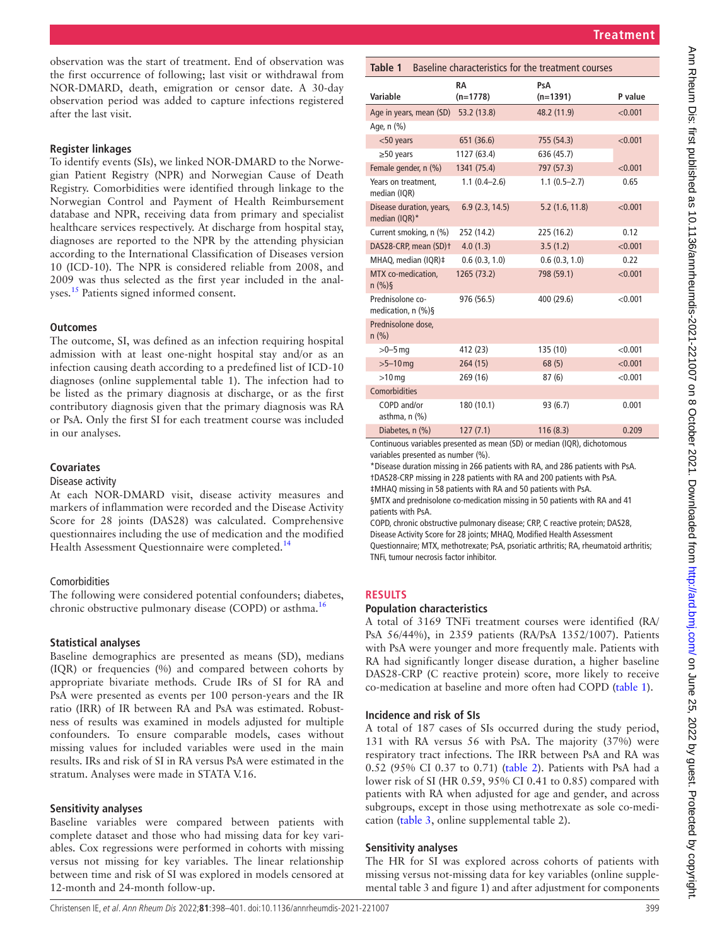observation was the start of treatment. End of observation was the first occurrence of following; last visit or withdrawal from NOR-DMARD, death, emigration or censor date. A 30-day observation period was added to capture infections registered after the last visit.

#### **Register linkages**

To identify events (SIs), we linked NOR-DMARD to the Norwegian Patient Registry (NPR) and Norwegian Cause of Death Registry. Comorbidities were identified through linkage to the Norwegian Control and Payment of Health Reimbursement database and NPR, receiving data from primary and specialist healthcare services respectively. At discharge from hospital stay, diagnoses are reported to the NPR by the attending physician according to the International Classification of Diseases version 10 (ICD-10). The NPR is considered reliable from 2008, and 2009 was thus selected as the first year included in the anal-yses.<sup>[15](#page-3-6)</sup> Patients signed informed consent.

## **Outcomes**

The outcome, SI, was defined as an infection requiring hospital admission with at least one-night hospital stay and/or as an infection causing death according to a predefined list of ICD-10 diagnoses ([online supplemental table 1](https://dx.doi.org/10.1136/annrheumdis-2021-221007)). The infection had to be listed as the primary diagnosis at discharge, or as the first contributory diagnosis given that the primary diagnosis was RA or PsA. Only the first SI for each treatment course was included in our analyses.

# **Covariates**

#### Disease activity

At each NOR-DMARD visit, disease activity measures and markers of inflammation were recorded and the Disease Activity Score for 28 joints (DAS28) was calculated. Comprehensive questionnaires including the use of medication and the modified Health Assessment Questionnaire were completed.<sup>[14](#page-3-5)</sup>

# Comorbidities

The following were considered potential confounders; diabetes, chronic obstructive pulmonary disease (COPD) or asthma.<sup>16</sup>

# **Statistical analyses**

Baseline demographics are presented as means (SD), medians (IQR) or frequencies (%) and compared between cohorts by appropriate bivariate methods. Crude IRs of SI for RA and PsA were presented as events per 100 person-years and the IR ratio (IRR) of IR between RA and PsA was estimated. Robustness of results was examined in models adjusted for multiple confounders. To ensure comparable models, cases without missing values for included variables were used in the main results. IRs and risk of SI in RA versus PsA were estimated in the stratum. Analyses were made in STATA V.16.

# **Sensitivity analyses**

Baseline variables were compared between patients with complete dataset and those who had missing data for key variables. Cox regressions were performed in cohorts with missing versus not missing for key variables. The linear relationship between time and risk of SI was explored in models censored at 12-month and 24-month follow-up.

<span id="page-1-0"></span>

| Table 1<br>Baseline characteristics for the treatment courses |                  |                   |         |  |  |  |
|---------------------------------------------------------------|------------------|-------------------|---------|--|--|--|
| Variable                                                      | RA<br>$(n=1778)$ | PsA<br>$(n=1391)$ | P value |  |  |  |
| Age in years, mean (SD)                                       | 53.2 (13.8)      | 48.2 (11.9)       | < 0.001 |  |  |  |
| Age, n (%)                                                    |                  |                   |         |  |  |  |
| $<$ 50 years                                                  | 651 (36.6)       | 755 (54.3)        | < 0.001 |  |  |  |
| $\geq$ 50 years                                               | 1127 (63.4)      | 636 (45.7)        |         |  |  |  |
| Female gender, n (%)                                          | 1341 (75.4)      | 797 (57.3)        | < 0.001 |  |  |  |
| Years on treatment.<br>median (IQR)                           | $1.1(0.4 - 2.6)$ | $1.1(0.5-2.7)$    | 0.65    |  |  |  |
| Disease duration, years,<br>median (IQR)*                     | 6.9(2.3, 14.5)   | 5.2(1.6, 11.8)    | < 0.001 |  |  |  |
| Current smoking, n (%)                                        | 252 (14.2)       | 225 (16.2)        | 0.12    |  |  |  |
| DAS28-CRP, mean (SD)t                                         | 4.0(1.3)         | 3.5(1.2)          | < 0.001 |  |  |  |
| MHAQ, median (IQR)‡                                           | 0.6(0.3, 1.0)    | 0.6(0.3, 1.0)     | 0.22    |  |  |  |
| MTX co-medication,<br>$n$ (%) §                               | 1265 (73.2)      | 798 (59.1)        | < 0.001 |  |  |  |
| Prednisolone co-<br>medication, $n$ (%)§                      | 976 (56.5)       | 400 (29.6)        | < 0.001 |  |  |  |
| Prednisolone dose,<br>$n$ (%)                                 |                  |                   |         |  |  |  |
| $>0-5$ mg                                                     | 412 (23)         | 135 (10)          | < 0.001 |  |  |  |
| $>5 - 10$ mg                                                  | 264 (15)         | 68(5)             | < 0.001 |  |  |  |
| $>10$ mg                                                      | 269 (16)         | 87(6)             | < 0.001 |  |  |  |
| Comorbidities                                                 |                  |                   |         |  |  |  |
| COPD and/or<br>asthma, $n$ $(\%)$                             | 180 (10.1)       | 93 (6.7)          | 0.001   |  |  |  |
| Diabetes, n (%)                                               | 127(7.1)         | 116(8.3)          | 0.209   |  |  |  |

Continuous variables presented as mean (SD) or median (IQR), dichotomous variables presented as number (%).

\*Disease duration missing in 266 patients with RA, and 286 patients with PsA. †DAS28-CRP missing in 228 patients with RA and 200 patients with PsA.

‡MHAQ missing in 58 patients with RA and 50 patients with PsA. §MTX and prednisolone co-medication missing in 50 patients with RA and 41

patients with PsA.

COPD, chronic obstructive pulmonary disease; CRP, C reactive protein; DAS28, Disease Activity Score for 28 joints; MHAQ, Modified Health Assessment Questionnaire; MTX, methotrexate; PsA, psoriatic arthritis; RA, rheumatoid arthritis; TNFi, tumour necrosis factor inhibitor.

# **RESULTS**

#### **Population characteristics**

A total of 3169 TNFi treatment courses were identified (RA/ PsA 56/44%), in 2359 patients (RA/PsA 1352/1007). Patients with PsA were younger and more frequently male. Patients with RA had significantly longer disease duration, a higher baseline DAS28-CRP (C reactive protein) score, more likely to receive co-medication at baseline and more often had COPD ([table](#page-1-0) 1).

# **Incidence and risk of SIs**

A total of 187 cases of SIs occurred during the study period, 131 with RA versus 56 with PsA. The majority (37%) were respiratory tract infections. The IRR between PsA and RA was 0.52 (95% CI 0.37 to 0.71) [\(table](#page-2-0) 2). Patients with PsA had a lower risk of SI (HR 0.59, 95% CI 0.41 to 0.85) compared with patients with RA when adjusted for age and gender, and across subgroups, except in those using methotrexate as sole co-medication ([table](#page-2-1) 3, [online supplemental table 2](https://dx.doi.org/10.1136/annrheumdis-2021-221007)).

# **Sensitivity analyses**

The HR for SI was explored across cohorts of patients with missing versus not-missing data for key variables ([online supple](https://dx.doi.org/10.1136/annrheumdis-2021-221007)[mental table 3 and figure 1\)](https://dx.doi.org/10.1136/annrheumdis-2021-221007) and after adjustment for components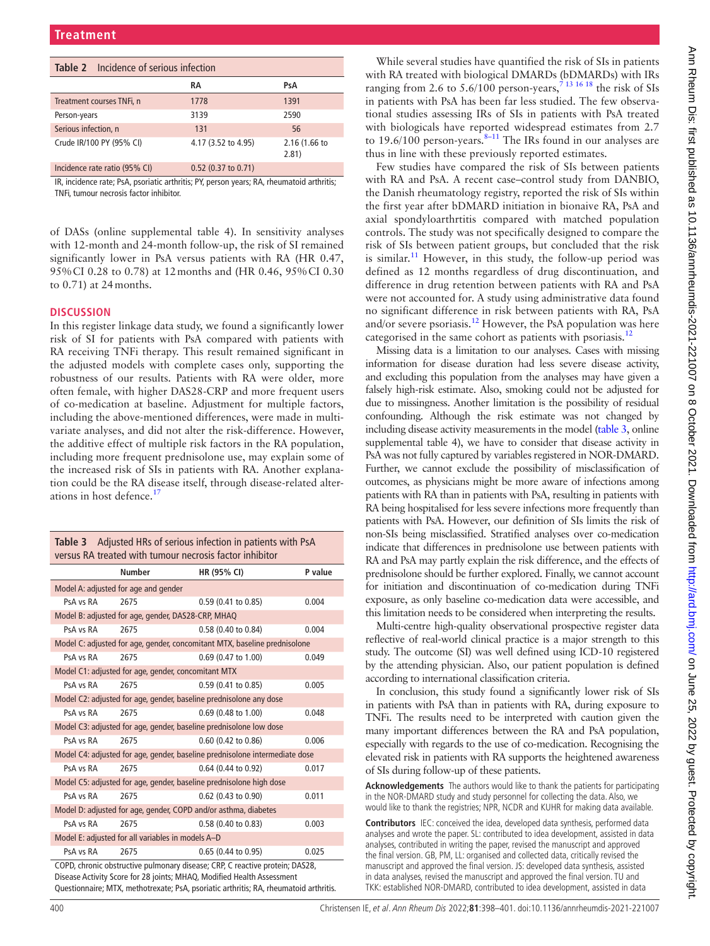<span id="page-2-0"></span>

| <b>Table 2</b> Incidence of serious infection |                       |                        |  |  |  |
|-----------------------------------------------|-----------------------|------------------------|--|--|--|
|                                               | RA                    | PsA                    |  |  |  |
| Treatment courses TNFi, n                     | 1778                  | 1391                   |  |  |  |
| Person-years                                  | 3139                  | 2590                   |  |  |  |
| Serious infection, n                          | 131                   | 56                     |  |  |  |
| Crude IR/100 PY (95% CI)                      | 4.17 (3.52 to 4.95)   | 2.16 (1.66 to<br>2.81) |  |  |  |
| Incidence rate ratio (95% CI)                 | $0.52$ (0.37 to 0.71) |                        |  |  |  |

IR, incidence rate; PsA, psoriatic arthritis; PY, person years; RA, rheumatoid arthritis; TNFi, tumour necrosis factor inhibitor.

of DASs ([online supplemental table 4](https://dx.doi.org/10.1136/annrheumdis-2021-221007)). In sensitivity analyses with 12-month and 24-month follow-up, the risk of SI remained significantly lower in PsA versus patients with RA (HR 0.47, 95%CI 0.28 to 0.78) at 12months and (HR 0.46, 95%CI 0.30 to 0.71) at 24months.

#### **DISCUSSION**

In this register linkage data study, we found a significantly lower risk of SI for patients with PsA compared with patients with RA receiving TNFi therapy. This result remained significant in the adjusted models with complete cases only, supporting the robustness of our results. Patients with RA were older, more often female, with higher DAS28-CRP and more frequent users of co-medication at baseline. Adjustment for multiple factors, including the above-mentioned differences, were made in multivariate analyses, and did not alter the risk-difference. However, the additive effect of multiple risk factors in the RA population, including more frequent prednisolone use, may explain some of the increased risk of SIs in patients with RA. Another explanation could be the RA disease itself, through disease-related alter-ations in host defence.<sup>[17](#page-3-8)</sup>

<span id="page-2-1"></span>

| Table 3 Adjusted HRs of serious infection in patients with PsA |
|----------------------------------------------------------------|
| versus RA treated with tumour necrosis factor inhibitor        |

|                                                                                                                                                         | <b>Number</b>                                      | HR (95% CI)                                                        | P value |  |  |
|---------------------------------------------------------------------------------------------------------------------------------------------------------|----------------------------------------------------|--------------------------------------------------------------------|---------|--|--|
| Model A: adjusted for age and gender                                                                                                                    |                                                    |                                                                    |         |  |  |
| PsA vs RA                                                                                                                                               | 2675                                               | 0.59 (0.41 to 0.85)                                                | 0.004   |  |  |
|                                                                                                                                                         | Model B: adjusted for age, gender, DAS28-CRP, MHAQ |                                                                    |         |  |  |
| PsA vs RA                                                                                                                                               | 2675                                               | 0.58 (0.40 to 0.84)                                                | 0.004   |  |  |
| Model C: adjusted for age, gender, concomitant MTX, baseline prednisolone                                                                               |                                                    |                                                                    |         |  |  |
| PsA vs RA                                                                                                                                               | 2675                                               | 0.69 (0.47 to 1.00)                                                | 0.049   |  |  |
| Model C1: adjusted for age, gender, concomitant MTX                                                                                                     |                                                    |                                                                    |         |  |  |
| PsA vs RA                                                                                                                                               | 2675                                               | $0.59(0.41)$ to $0.85$                                             | 0.005   |  |  |
|                                                                                                                                                         |                                                    | Model C2: adjusted for age, gender, baseline prednisolone any dose |         |  |  |
| PsA vs RA                                                                                                                                               | 2675                                               | $0.69$ (0.48 to 1.00)                                              | 0.048   |  |  |
|                                                                                                                                                         |                                                    | Model C3: adjusted for age, gender, baseline prednisolone low dose |         |  |  |
| PsA vs RA                                                                                                                                               | 2675                                               | 0.60 (0.42 to 0.86)                                                | 0.006   |  |  |
| Model C4: adjusted for age, gender, baseline prednisolone intermediate dose                                                                             |                                                    |                                                                    |         |  |  |
| PsA vs RA                                                                                                                                               | 2675                                               | 0.64 (0.44 to 0.92)                                                | 0.017   |  |  |
| Model C5: adjusted for age, gender, baseline prednisolone high dose                                                                                     |                                                    |                                                                    |         |  |  |
| PsA vs RA                                                                                                                                               | 2675                                               | $0.62$ (0.43 to 0.90)                                              | 0.011   |  |  |
| Model D: adjusted for age, gender, COPD and/or asthma, diabetes                                                                                         |                                                    |                                                                    |         |  |  |
| PsA vs RA                                                                                                                                               | 2675                                               | 0.58 (0.40 to 0.83)                                                | 0.003   |  |  |
| Model E: adjusted for all variables in models A-D                                                                                                       |                                                    |                                                                    |         |  |  |
| PsA vs RA                                                                                                                                               | 2675                                               | $0.65$ (0.44 to 0.95)                                              | 0.025   |  |  |
| COPD, chronic obstructive pulmonary disease; CRP, C reactive protein; DAS28,<br>Discoso Activity Cease for 20 joints: MILLO, Modified Health Assessment |                                                    |                                                                    |         |  |  |

Disease Activity Score for 28 joints; MHAQ, Modified Health Assessment Questionnaire; MTX, methotrexate; PsA, psoriatic arthritis; RA, rheumatoid arthritis.

While several studies have quantified the risk of SIs in patients with RA treated with biological DMARDs (bDMARDs) with IRs ranging from 2.6 to  $5.6/100$  person-years,<sup>713</sup><sup>16</sup> 18 the risk of SIs in patients with PsA has been far less studied. The few observational studies assessing IRs of SIs in patients with PsA treated with biologicals have reported widespread estimates from 2.7 to  $19.6/100$  person-years.  $8-11$  The IRs found in our analyses are thus in line with these previously reported estimates.

Few studies have compared the risk of SIs between patients with RA and PsA. A recent case–control study from DANBIO, the Danish rheumatology registry, reported the risk of SIs within the first year after bDMARD initiation in bionaive RA, PsA and axial spondyloarthrtitis compared with matched population controls. The study was not specifically designed to compare the risk of SIs between patient groups, but concluded that the risk is similar.<sup>11</sup> However, in this study, the follow-up period was defined as 12 months regardless of drug discontinuation, and difference in drug retention between patients with RA and PsA were not accounted for. A study using administrative data found no significant difference in risk between patients with RA, PsA and/or severe psoriasis.<sup>[12](#page-3-10)</sup> However, the PsA population was here categorised in the same cohort as patients with psoriasis.<sup>12</sup>

Missing data is a limitation to our analyses. Cases with missing information for disease duration had less severe disease activity, and excluding this population from the analyses may have given a falsely high-risk estimate. Also, smoking could not be adjusted for due to missingness. Another limitation is the possibility of residual confounding. Although the risk estimate was not changed by including disease activity measurements in the model ([table](#page-2-1) 3, [online](https://dx.doi.org/10.1136/annrheumdis-2021-221007) [supplemental table 4\)](https://dx.doi.org/10.1136/annrheumdis-2021-221007), we have to consider that disease activity in PsA was not fully captured by variables registered in NOR-DMARD. Further, we cannot exclude the possibility of misclassification of outcomes, as physicians might be more aware of infections among patients with RA than in patients with PsA, resulting in patients with RA being hospitalised for less severe infections more frequently than patients with PsA. However, our definition of SIs limits the risk of non-SIs being misclassified. Stratified analyses over co-medication indicate that differences in prednisolone use between patients with RA and PsA may partly explain the risk difference, and the effects of prednisolone should be further explored. Finally, we cannot account for initiation and discontinuation of co-medication during TNFi exposure, as only baseline co-medication data were accessible, and this limitation needs to be considered when interpreting the results.

Multi-centre high-quality observational prospective register data reflective of real-world clinical practice is a major strength to this study. The outcome (SI) was well defined using ICD-10 registered by the attending physician. Also, our patient population is defined according to international classification criteria.

In conclusion, this study found a significantly lower risk of SIs in patients with PsA than in patients with RA, during exposure to TNFi. The results need to be interpreted with caution given the many important differences between the RA and PsA population, especially with regards to the use of co-medication. Recognising the elevated risk in patients with RA supports the heightened awareness of SIs during follow-up of these patients.

**Acknowledgements** The authors would like to thank the patients for participating in the NOR-DMARD study and study personnel for collecting the data. Also, we would like to thank the registries; NPR, NCDR and KUHR for making data available.

**Contributors** IEC: conceived the idea, developed data synthesis, performed data analyses and wrote the paper. SL: contributed to idea development, assisted in data analyses, contributed in writing the paper, revised the manuscript and approved the final version. GB, PM, LL: organised and collected data, critically revised the manuscript and approved the final version. JS: developed data synthesis, assisted in data analyses, revised the manuscript and approved the final version. TU and TKK: established NOR-DMARD, contributed to idea development, assisted in data